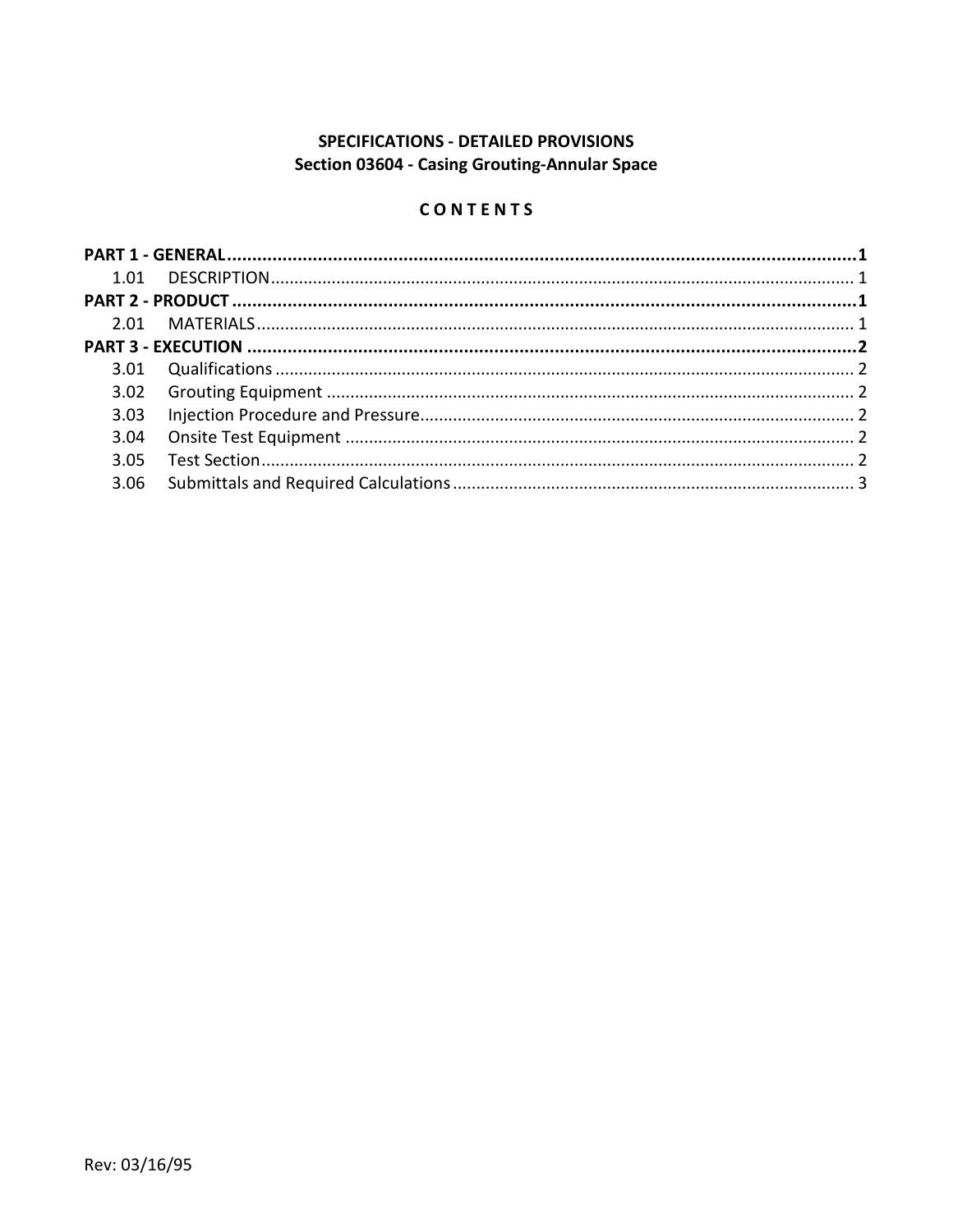# SPECIFICATIONS - DETAILED PROVISIONS Section 03604 - Casing Grouting-Annular Space

# CONTENTS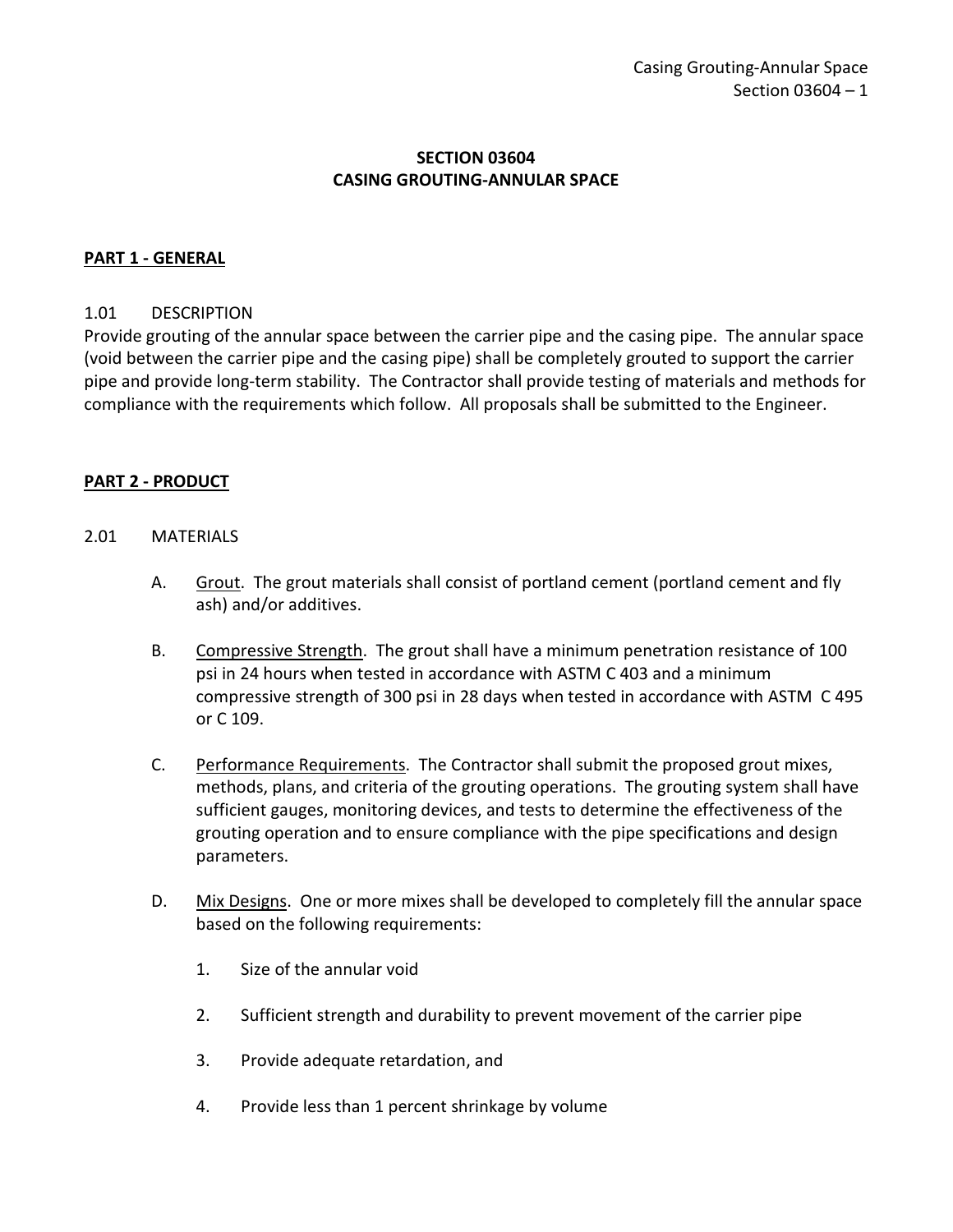### **SECTION 03604 CASING GROUTING-ANNULAR SPACE**

#### <span id="page-2-0"></span>**PART 1 - GENERAL**

#### <span id="page-2-1"></span>1.01 DESCRIPTION

Provide grouting of the annular space between the carrier pipe and the casing pipe. The annular space (void between the carrier pipe and the casing pipe) shall be completely grouted to support the carrier pipe and provide long-term stability. The Contractor shall provide testing of materials and methods for compliance with the requirements which follow. All proposals shall be submitted to the Engineer.

#### <span id="page-2-2"></span>**PART 2 - PRODUCT**

#### <span id="page-2-3"></span>2.01 MATERIALS

- A. Grout. The grout materials shall consist of portland cement (portland cement and fly ash) and/or additives.
- B. Compressive Strength. The grout shall have a minimum penetration resistance of 100 psi in 24 hours when tested in accordance with ASTM C 403 and a minimum compressive strength of 300 psi in 28 days when tested in accordance with ASTM C 495 or C 109.
- C. Performance Requirements. The Contractor shall submit the proposed grout mixes, methods, plans, and criteria of the grouting operations. The grouting system shall have sufficient gauges, monitoring devices, and tests to determine the effectiveness of the grouting operation and to ensure compliance with the pipe specifications and design parameters.
- D. Mix Designs. One or more mixes shall be developed to completely fill the annular space based on the following requirements:
	- 1. Size of the annular void
	- 2. Sufficient strength and durability to prevent movement of the carrier pipe
	- 3. Provide adequate retardation, and
	- 4. Provide less than 1 percent shrinkage by volume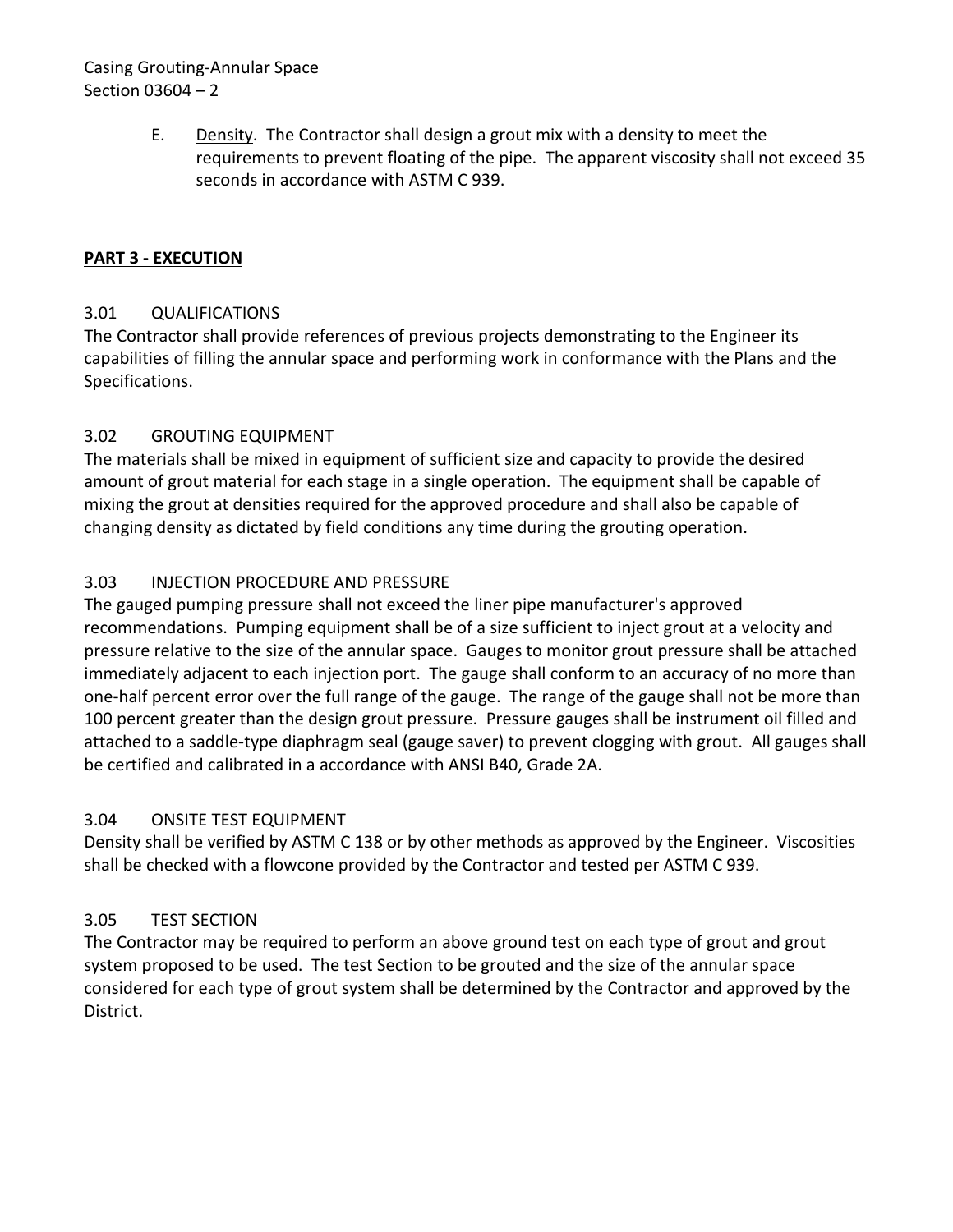## Casing Grouting-Annular Space Section 03604 – 2

E. Density. The Contractor shall design a grout mix with a density to meet the requirements to prevent floating of the pipe. The apparent viscosity shall not exceed 35 seconds in accordance with ASTM C 939.

## <span id="page-3-0"></span>**PART 3 - EXECUTION**

### <span id="page-3-1"></span>3.01 QUALIFICATIONS

The Contractor shall provide references of previous projects demonstrating to the Engineer its capabilities of filling the annular space and performing work in conformance with the Plans and the Specifications.

## <span id="page-3-2"></span>3.02 GROUTING EQUIPMENT

The materials shall be mixed in equipment of sufficient size and capacity to provide the desired amount of grout material for each stage in a single operation. The equipment shall be capable of mixing the grout at densities required for the approved procedure and shall also be capable of changing density as dictated by field conditions any time during the grouting operation.

# <span id="page-3-3"></span>3.03 INJECTION PROCEDURE AND PRESSURE

The gauged pumping pressure shall not exceed the liner pipe manufacturer's approved recommendations. Pumping equipment shall be of a size sufficient to inject grout at a velocity and pressure relative to the size of the annular space. Gauges to monitor grout pressure shall be attached immediately adjacent to each injection port. The gauge shall conform to an accuracy of no more than one-half percent error over the full range of the gauge. The range of the gauge shall not be more than 100 percent greater than the design grout pressure. Pressure gauges shall be instrument oil filled and attached to a saddle-type diaphragm seal (gauge saver) to prevent clogging with grout. All gauges shall be certified and calibrated in a accordance with ANSI B40, Grade 2A.

### <span id="page-3-4"></span>3.04 ONSITE TEST EQUIPMENT

Density shall be verified by ASTM C 138 or by other methods as approved by the Engineer. Viscosities shall be checked with a flowcone provided by the Contractor and tested per ASTM C 939.

# <span id="page-3-5"></span>3.05 TEST SECTION

<span id="page-3-6"></span>The Contractor may be required to perform an above ground test on each type of grout and grout system proposed to be used. The test Section to be grouted and the size of the annular space considered for each type of grout system shall be determined by the Contractor and approved by the District.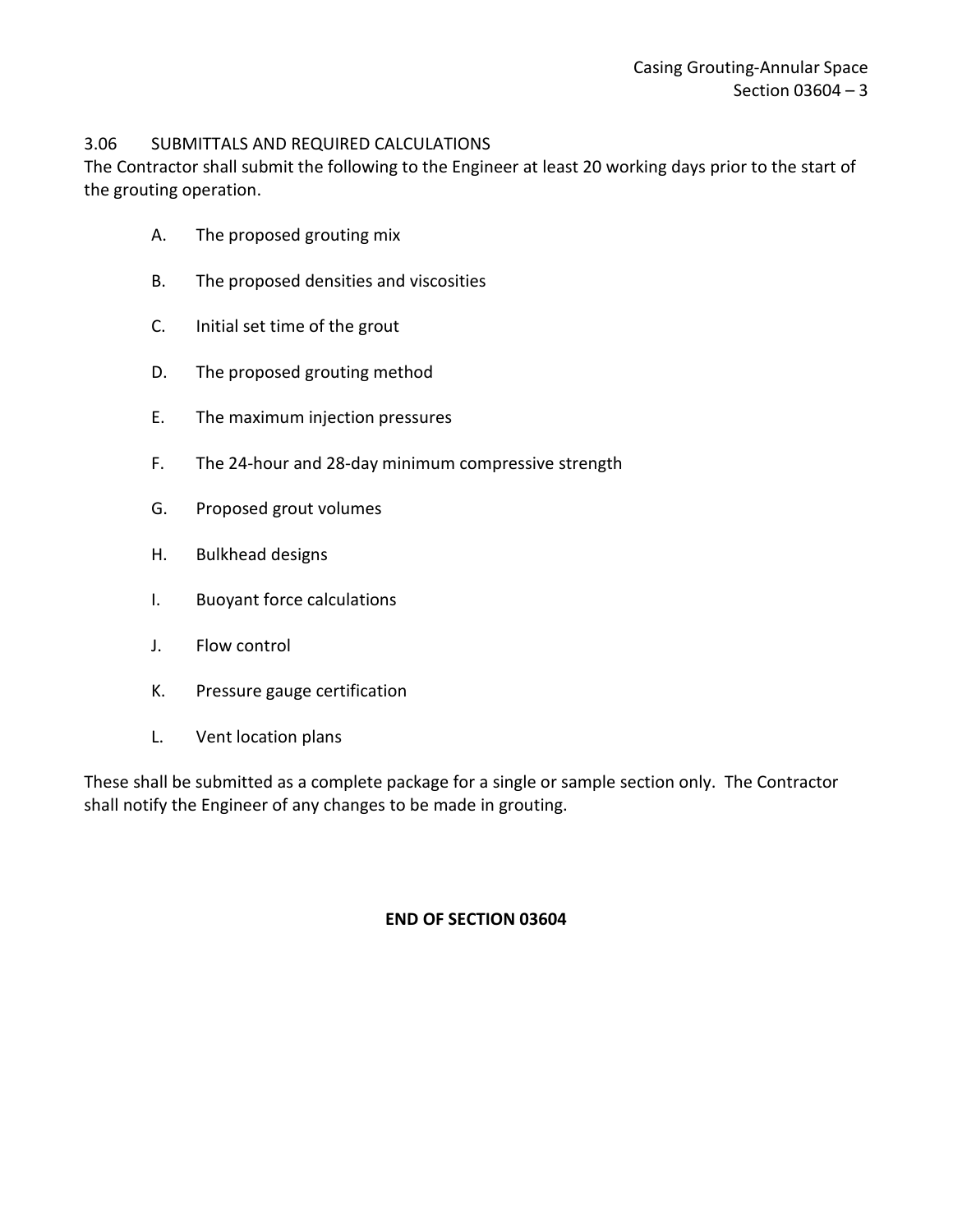### 3.06 SUBMITTALS AND REQUIRED CALCULATIONS

The Contractor shall submit the following to the Engineer at least 20 working days prior to the start of the grouting operation.

- A. The proposed grouting mix
- B. The proposed densities and viscosities
- C. Initial set time of the grout
- D. The proposed grouting method
- E. The maximum injection pressures
- F. The 24-hour and 28-day minimum compressive strength
- G. Proposed grout volumes
- H. Bulkhead designs
- I. Buoyant force calculations
- J. Flow control
- K. Pressure gauge certification
- L. Vent location plans

These shall be submitted as a complete package for a single or sample section only. The Contractor shall notify the Engineer of any changes to be made in grouting.

#### **END OF SECTION 03604**